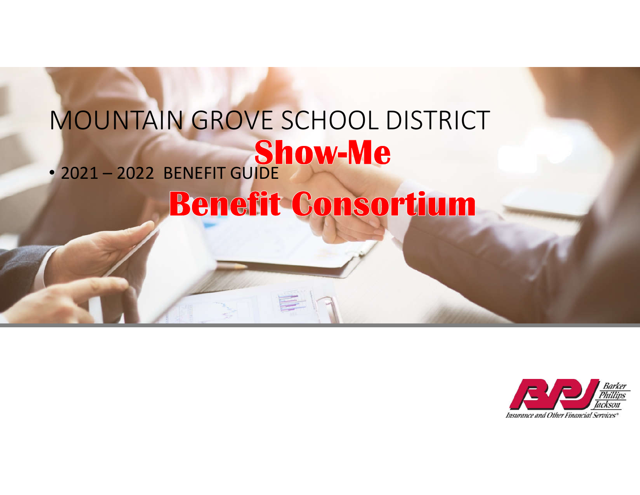# MOUNTAIN GROVE SCHOOL DISTRICT • 2021 – 2022 BENEFIT GUIDE Benefit Consortium

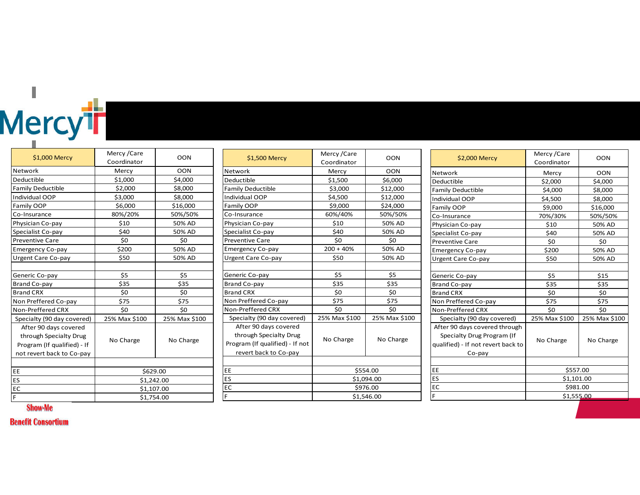# Mercy<sup>t</sup>r

| \$1,000 Mercy               | Mercy / Care<br>Coordinator | <b>OON</b>    |
|-----------------------------|-----------------------------|---------------|
| Network                     | Mercy                       | <b>OON</b>    |
| Deductible                  | \$1,000                     | \$4,000       |
| <b>Family Deductible</b>    | \$2,000                     | \$8,000       |
| Individual OOP              | \$3,000                     | \$8,000       |
| Family OOP                  | \$6,000                     | \$16,000      |
| Co-Insurance                | 80%/20%                     | 50%/50%       |
| Physician Co-pay            | \$10                        | 50% AD        |
| Specialist Co-pay           | \$40                        | 50% AD        |
| <b>Preventive Care</b>      | \$0                         | \$0           |
| <b>Emergency Co-pay</b>     | \$200                       | 50% AD        |
| Urgent Care Co-pay          | \$50                        | 50% AD        |
|                             |                             |               |
| Generic Co-pay              | \$5                         | \$5           |
| Brand Co-pay                | \$35                        | \$35          |
| <b>Brand CRX</b>            | \$0                         | \$0           |
| Non Preffered Co-pay        | \$75                        | \$75          |
| Non-Preffered CRX           | \$0                         | \$0           |
| Specialty (90 day covered)  | 25% Max \$100               | 25% Max \$100 |
| After 90 days covered       |                             |               |
| through Specialty Drug      | No Charge                   | No Charge     |
| Program (If qualified) - If |                             |               |
| not revert back to Co-pay   |                             |               |
|                             |                             |               |
| EE                          | \$629.00                    |               |
| ES                          | \$1,242.00                  |               |
| EC                          | \$1,107.00                  |               |
| F                           | \$1.754.00                  |               |

|                                                                                                             | Mercy / Care  |               |
|-------------------------------------------------------------------------------------------------------------|---------------|---------------|
| \$1,500 Mercy                                                                                               | Coordinator   | <b>OON</b>    |
| Network                                                                                                     | Mercy         | <b>OON</b>    |
| Deductible                                                                                                  | \$1,500       | \$6,000       |
| <b>Family Deductible</b>                                                                                    | \$3,000       | \$12,000      |
| Individual OOP                                                                                              | \$4,500       | \$12,000      |
| Family OOP                                                                                                  | \$9,000       | \$24,000      |
| Co-Insurance                                                                                                | 60%/40%       | 50%/50%       |
| Physician Co-pay                                                                                            | \$10          | 50% AD        |
| Specialist Co-pay                                                                                           | \$40          | 50% AD        |
| <b>Preventive Care</b>                                                                                      | \$0           | \$0           |
| <b>Emergency Co-pay</b>                                                                                     | $200 + 40%$   | 50% AD        |
| Urgent Care Co-pay                                                                                          | \$50          | 50% AD        |
|                                                                                                             |               |               |
| Generic Co-pay                                                                                              | \$5           | \$5           |
| Brand Co-pay                                                                                                | \$35          | \$35          |
| <b>Brand CRX</b>                                                                                            | \$0           | \$0           |
| Non Preffered Co-pay                                                                                        | \$75          | \$75          |
| Non-Preffered CRX                                                                                           | \$0           | \$0           |
| Specialty (90 day covered)                                                                                  | 25% Max \$100 | 25% Max \$100 |
| After 90 days covered<br>through Specialty Drug<br>Program (If qualified) - If not<br>revert back to Co-pay | No Charge     | No Charge     |
|                                                                                                             |               |               |
| EE                                                                                                          | \$554.00      |               |
| ES                                                                                                          | \$1,094.00    |               |
| EC                                                                                                          | \$976.00      |               |
| F                                                                                                           | \$1,546.00    |               |

| \$2,000 Mercy                                                                                               | Mercy / Care<br>Coordinator | OON           |
|-------------------------------------------------------------------------------------------------------------|-----------------------------|---------------|
| Network                                                                                                     | Mercy                       | <b>OON</b>    |
| Deductible                                                                                                  | \$2,000                     | \$4,000       |
| <b>Family Deductible</b>                                                                                    | \$4,000                     | \$8,000       |
| Individual OOP                                                                                              | \$4,500                     | \$8,000       |
| Family OOP                                                                                                  | \$9,000                     | \$16,000      |
| Co-Insurance                                                                                                | 70%/30%                     | 50%/50%       |
| Physician Co-pay                                                                                            | \$10                        | 50% AD        |
| Specialist Co-pay                                                                                           | \$40                        | 50% AD        |
| Preventive Care                                                                                             | \$0                         | \$0           |
| <b>Emergency Co-pay</b>                                                                                     | \$200                       | 50% AD        |
| Urgent Care Co-pay                                                                                          | \$50                        | 50% AD        |
|                                                                                                             |                             |               |
| Generic Co-pay                                                                                              | \$5                         | \$15          |
| Brand Co-pay                                                                                                | \$35                        | \$35          |
| <b>Brand CRX</b>                                                                                            | \$0                         | \$0           |
| Non Preffered Co-pay                                                                                        | \$75                        | \$75          |
| Non-Preffered CRX                                                                                           | \$0                         | \$0           |
| Specialty (90 day covered)                                                                                  | 25% Max \$100               | 25% Max \$100 |
| After 90 days covered through<br>Specialty Drug Program (If<br>qualified) - If not revert back to<br>Co-pay | No Charge                   | No Charge     |
|                                                                                                             |                             |               |
| EE                                                                                                          | \$557.00                    |               |
| ES                                                                                                          | \$1,101.00                  |               |
| EC                                                                                                          | \$981.00                    |               |
| F                                                                                                           | \$1,555.00                  |               |

**Show-Me** 

**Benefit Consortium**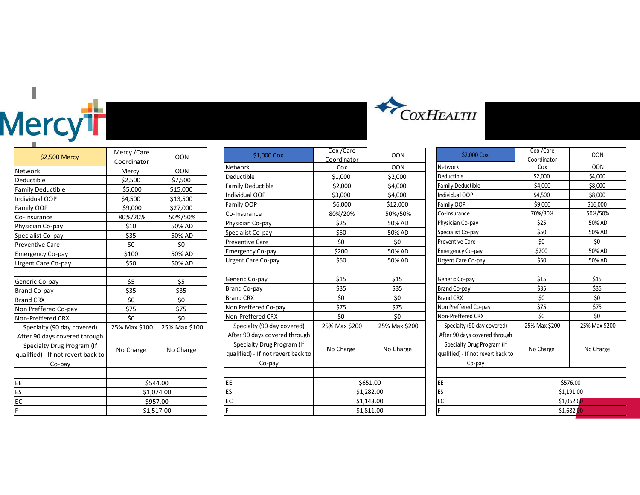# Hercy<sup>th</sup>

| \$2,500 Mercy                                                                                               | Mercy / Care<br>Coordinator | <b>OON</b>    |
|-------------------------------------------------------------------------------------------------------------|-----------------------------|---------------|
| Network                                                                                                     | Mercy                       | <b>OON</b>    |
| Deductible                                                                                                  | \$2,500                     | \$7,500       |
| <b>Family Deductible</b>                                                                                    | \$5,000                     | \$15,000      |
| Individual OOP                                                                                              | \$4,500                     | \$13,500      |
| Family OOP                                                                                                  | \$9,000                     | \$27,000      |
| Co-Insurance                                                                                                | 80%/20%                     | 50%/50%       |
| Physician Co-pay                                                                                            | \$10                        | 50% AD        |
| Specialist Co-pay                                                                                           | \$35                        | 50% AD        |
| <b>Preventive Care</b>                                                                                      | \$0                         | \$0           |
| <b>Emergency Co-pay</b>                                                                                     | \$100                       | 50% AD        |
| Urgent Care Co-pay                                                                                          | \$50                        | 50% AD        |
|                                                                                                             |                             |               |
| Generic Co-pay                                                                                              | \$5                         | \$5           |
| <b>Brand Co-pay</b>                                                                                         | \$35                        | \$35          |
| <b>Brand CRX</b>                                                                                            | \$0                         | \$0           |
| Non Preffered Co-pay                                                                                        | \$75                        | \$75          |
| Non-Preffered CRX                                                                                           | \$0                         | \$0           |
| Specialty (90 day covered)                                                                                  | 25% Max \$100               | 25% Max \$100 |
| After 90 days covered through<br>Specialty Drug Program (If<br>qualified) - If not revert back to<br>Co-pay | No Charge                   | No Charge     |
|                                                                                                             |                             |               |
| EE                                                                                                          | \$544.00                    |               |
| ES                                                                                                          | \$1,074.00                  |               |
| EC                                                                                                          | \$957.00                    |               |
| F.                                                                                                          | \$1,517.00                  |               |

| \$1,000 Cox                                                                                                 | Cox/Care           | <b>OON</b>    |
|-------------------------------------------------------------------------------------------------------------|--------------------|---------------|
| Network                                                                                                     | Coordinator<br>Cox | <b>OON</b>    |
| Deductible                                                                                                  | \$1,000            | \$2,000       |
| <b>Family Deductible</b>                                                                                    | \$2,000            | \$4,000       |
| Individual OOP                                                                                              | \$3,000            | \$4,000       |
| Family OOP                                                                                                  | \$6,000            | \$12,000      |
| Co-Insurance                                                                                                | 80%/20%            | 50%/50%       |
| Physician Co-pay                                                                                            | \$25               | 50% AD        |
| Specialist Co-pay                                                                                           | \$50               | 50% AD        |
| <b>Preventive Care</b>                                                                                      | \$0                | \$0           |
| <b>Emergency Co-pay</b>                                                                                     | \$200              | 50% AD        |
| Urgent Care Co-pay                                                                                          | \$50               | 50% AD        |
|                                                                                                             |                    |               |
| Generic Co-pay                                                                                              | \$15               | \$15          |
| <b>Brand Co-pay</b>                                                                                         | \$35               | \$35          |
| <b>Brand CRX</b>                                                                                            | \$0                | \$0           |
| Non Preffered Co-pay                                                                                        | \$75               | \$75          |
| Non-Preffered CRX                                                                                           | \$0                | \$0           |
| Specialty (90 day covered)                                                                                  | 25% Max \$200      | 25% Max \$200 |
| After 90 days covered through<br>Specialty Drug Program (If<br>qualified) - If not revert back to<br>Co-pay | No Charge          | No Charge     |
|                                                                                                             |                    |               |
| EE                                                                                                          | \$651.00           |               |
| ES                                                                                                          | \$1,282.00         |               |
| EC                                                                                                          | \$1,143.00         |               |
| F                                                                                                           | \$1,811.00         |               |



|                                                                                                             | Cox / Care    | <b>OON</b>    |
|-------------------------------------------------------------------------------------------------------------|---------------|---------------|
| \$2,000 Cox                                                                                                 | Coordinator   |               |
| Network                                                                                                     | Cox           | <b>OON</b>    |
| Deductible                                                                                                  | \$2,000       | \$4,000       |
| <b>Family Deductible</b>                                                                                    | \$4,000       | \$8,000       |
| Individual OOP                                                                                              | \$4,500       | \$8,000       |
| Family OOP                                                                                                  | \$9,000       | \$16,000      |
| Co-Insurance                                                                                                | 70%/30%       | 50%/50%       |
| Physician Co-pay                                                                                            | \$25          | 50% AD        |
| Specialist Co-pay                                                                                           | \$50          | 50% AD        |
| <b>Preventive Care</b>                                                                                      | \$0           | \$0           |
| <b>Emergency Co-pay</b>                                                                                     | \$200         | 50% AD        |
| Urgent Care Co-pay                                                                                          | \$50          | 50% AD        |
|                                                                                                             |               |               |
| Generic Co-pay                                                                                              | \$15          | \$15          |
| Brand Co-pay                                                                                                | \$35          | \$35          |
| <b>Brand CRX</b>                                                                                            | \$0           | \$0           |
| Non Preffered Co-pay                                                                                        | \$75          | \$75          |
| Non-Preffered CRX                                                                                           | \$0           | \$0           |
| Specialty (90 day covered)                                                                                  | 25% Max \$200 | 25% Max \$200 |
| After 90 days covered through<br>Specialty Drug Program (If<br>qualified) - If not revert back to<br>Co-pay | No Charge     | No Charge     |
|                                                                                                             |               |               |
| EE                                                                                                          | \$576.00      |               |
| ES                                                                                                          | \$1,191.00    |               |
| EC                                                                                                          | \$1,062.00    |               |
| F                                                                                                           | \$1,682.00    |               |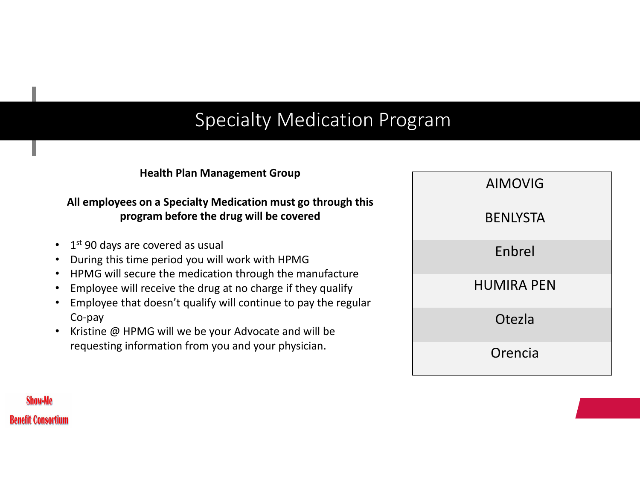### Specialty Medication Program

### **Health Plan Management Group**

### **All employees on a Specialty Medication must go through this program before the drug will be covered**

- $\cdot$  1st 90 days are covered as usual
- During this time period you will work with HPMG
- HPMG will secure the medication through the manufacture
- Employee will receive the drug at no charge if they qualify
- Employee that doesn't qualify will continue to pay the regular Co-pay
- Kristine @ HPMG will we be your Advocate and will be requesting information from you and your physician.

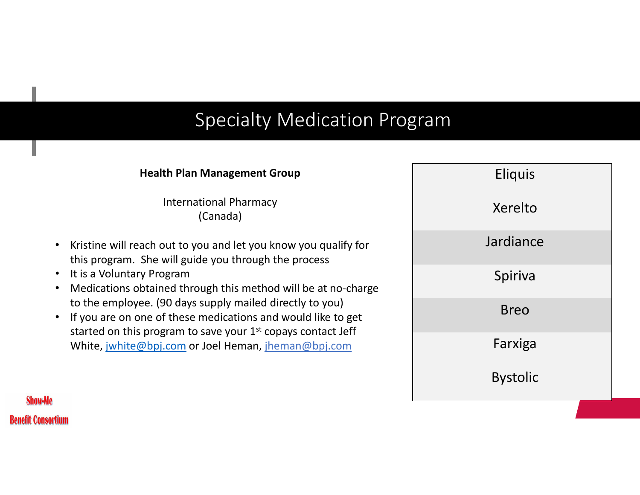### Specialty Medication Program

### **Health Plan Management Group**  International Pharmacy (Canada) • Kristine will reach out to you and let you know you qualify for this program. She will guide you through the process • It is a Voluntary Program • Medications obtained through this method will be at no-charge to the employee. (90 days supply mailed directly to you)

• If you are on one of these medications and would like to get started on this program to save your  $1<sup>st</sup>$  copays contact Jeff White, jwhite@bpj.com or Joel Heman, jheman@bpj.com

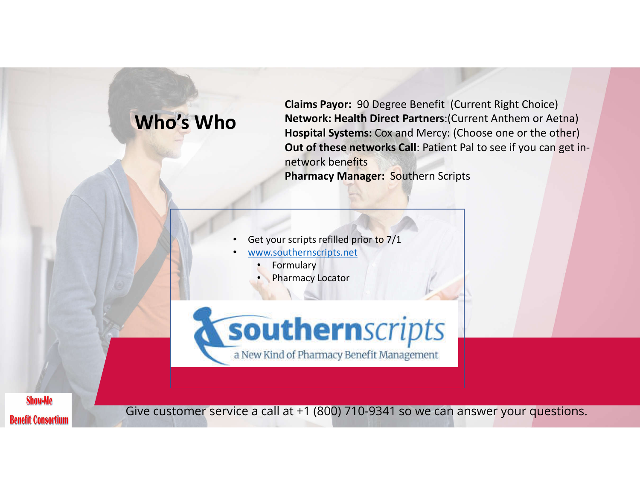

**Claims Payor:** 90 Degree Benefit (Current Right Choice) **Network: Health Direct Partners**:(Current Anthem or Aetna) **Hospital Systems:** Cox and Mercy: (Choose one or the other) **Out of these networks Call**: Patient Pal to see if you can get innetwork benefits **Pharmacy Manager:** Southern Scripts



- www.southernscripts.net
	- **Formulary**
	- **Pharmacy Locator**



**Show-Me Benefit Consortium** 

Give customer service a call at +1 (800) 710-9341 so we can answer your questions.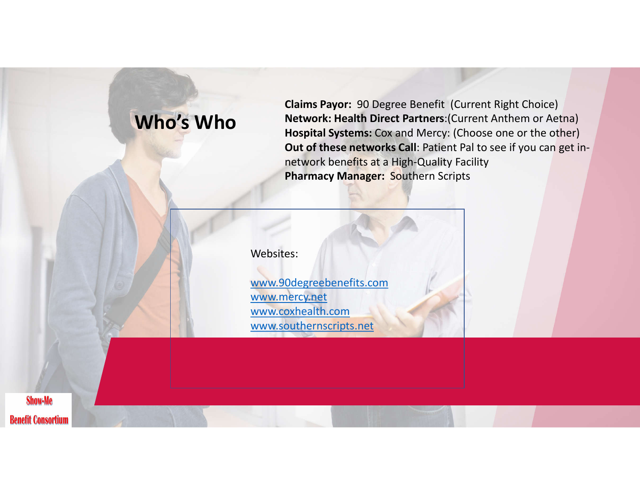### **Who's Who**

**Claims Payor:** 90 Degree Benefit (Current Right Choice) **Network: Health Direct Partners**:(Current Anthem or Aetna) **Hospital Systems:** Cox and Mercy: (Choose one or the other) **Out of these networks Call**: Patient Pal to see if you can get innetwork benefits at a High-Quality Facility **Pharmacy Manager:** Southern Scripts

Websites:

www.90degreebenefits.com www.mercy.net www.coxhealth.com www.southernscripts.net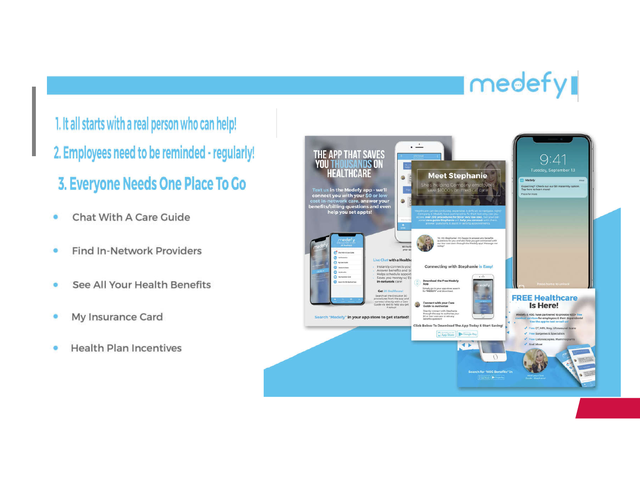# medefy

1. It all starts with a real person who can help! 2. Employees need to be reminded - regularly! 3. Everyone Needs One Place To Go

- Chat With A Care Guide ö
- Find In-Network Providers ۵
- See All Your Health Benefits ۵
- My Insurance Card ۰
- **Health Plan Incentives** ۰

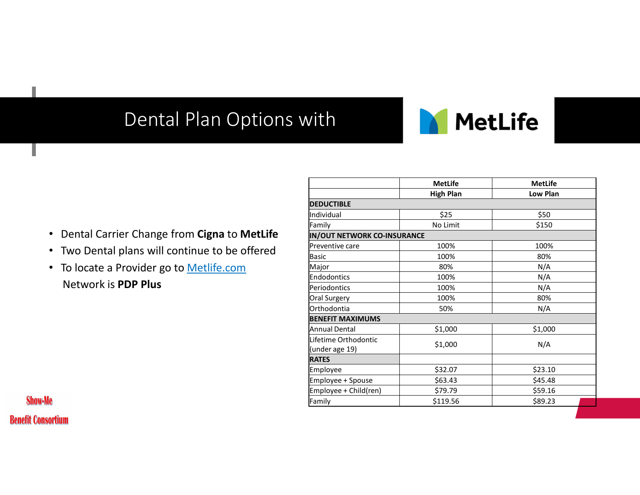### Dental Plan Options with



- Dental Carrier Change from **Cigna** to **MetLife**
- Two Dental plans will continue to be offered
- To locate a Provider go to Metlife.com Network is **PDP Plus**

|                                                |                                    | <b>MetLife</b>   | <b>MetLife</b> |
|------------------------------------------------|------------------------------------|------------------|----------------|
|                                                |                                    | <b>High Plan</b> | Low Plan       |
|                                                | <b>DEDUCTIBLE</b>                  |                  |                |
|                                                | Individual                         | \$25             | \$50           |
|                                                | Family                             | No Limit         | \$150          |
| • Dental Carrier Change from Cigna to MetLife  | <b>IN/OUT NETWORK CO-INSURANCE</b> |                  |                |
| • Two Dental plans will continue to be offered | lPreventive care                   | 100%             | 100%           |
|                                                | Basic                              | 100%             | 80%            |
| • To locate a Provider go to Metlife.com       | Major                              | 80%              | N/A            |
|                                                | <b>IEndodontics</b>                | 100%             | N/A            |
| Network is <b>PDP Plus</b>                     | Periodontics                       | 100%             | N/A            |
|                                                | Oral Surgery                       | 100%             | 80%            |
|                                                | <b>lOrthodontia</b>                | 50%              | N/A            |
|                                                | <b>BENEFIT MAXIMUMS</b>            |                  |                |
|                                                | lAnnual Dental                     | \$1,000          | \$1,000        |
|                                                | Lifetime Orthodontic               | \$1,000          | N/A            |
|                                                | (under age 19)                     |                  |                |
|                                                | <b>RATES</b>                       |                  |                |
|                                                | Employee                           | \$32.07          | \$23.10        |
|                                                | Employee + Spouse                  | \$63.43          | \$45.48        |
|                                                | Employee + Child(ren)              | \$79.79          | \$59.16        |
| $\mathbf{e}$                                   | Family                             | \$119.56         | \$89.23        |

**Show-Me Benefit Consortium** 

ı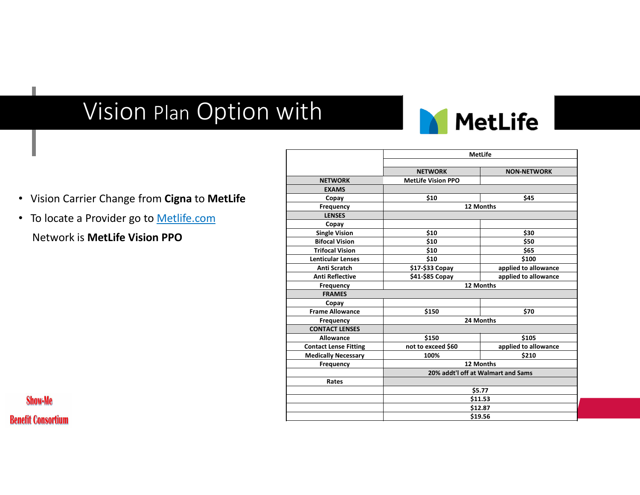## Vision Plan Option with



**MetLife**

- Vision Carrier Change from **Cigna** to **MetLife**
- To locate a Provider go to Metlife.com Network is **MetLife Vision PPO**

|                              | <b>NETWORK</b>                     | <b>NON-NETWORK</b>   |
|------------------------------|------------------------------------|----------------------|
| <b>NETWORK</b>               | <b>MetLife Vision PPO</b>          |                      |
| <b>EXAMS</b>                 |                                    |                      |
| Copay                        | \$10                               | \$45                 |
| Frequency                    |                                    | 12 Months            |
| <b>LENSES</b>                |                                    |                      |
| Copay                        |                                    |                      |
| <b>Single Vision</b>         | \$10                               | \$30                 |
| <b>Bifocal Vision</b>        | \$10                               | \$50                 |
| <b>Trifocal Vision</b>       | \$10                               | \$65                 |
| <b>Lenticular Lenses</b>     | \$10                               | \$100                |
| <b>Anti Scratch</b>          | \$17-\$33 Copay                    | applied to allowance |
| <b>Anti Reflective</b>       | \$41-\$85 Copay                    | applied to allowance |
| <b>Frequency</b>             |                                    | 12 Months            |
| <b>FRAMES</b>                |                                    |                      |
| Copay                        |                                    |                      |
| <b>Frame Allowance</b>       | \$150                              | \$70                 |
| <b>Frequency</b>             | 24 Months                          |                      |
| <b>CONTACT LENSES</b>        |                                    |                      |
| <b>Allowance</b>             | \$150                              | \$105                |
| <b>Contact Lense Fitting</b> | not to exceed \$60                 | applied to allowance |
| <b>Medically Necessary</b>   | 100%                               | \$210                |
| Frequency                    | 12 Months                          |                      |
|                              | 20% addt'l off at Walmart and Sams |                      |
| Rates                        |                                    |                      |
|                              | \$5.77                             |                      |
|                              | \$11.53                            |                      |
|                              | \$12.87                            |                      |
|                              | \$19.56                            |                      |
|                              |                                    |                      |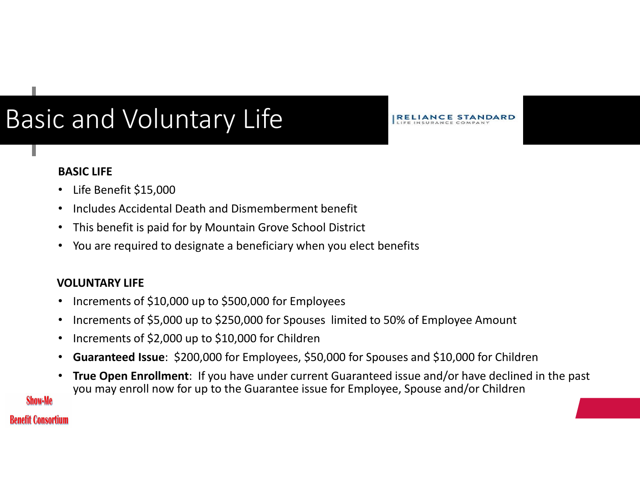# Basic and Voluntary Life

**BASIC LIFE**

- Life Benefit \$15,000
- Includes Accidental Death and Dismemberment benefit
- This benefit is paid for by Mountain Grove School District
- You are required to designate a beneficiary when you elect benefits

### **VOLUNTARY LIFE**

- Increments of \$10,000 up to \$500,000 for Employees
- Increments of \$5,000 up to \$250,000 for Spouses limited to 50% of Employee Amount
- Increments of \$2,000 up to \$10,000 for Children
- **Guaranteed Issue**: \$200,000 for Employees, \$50,000 for Spouses and \$10,000 for Children
- **True Open Enrollment**: If you have under current Guaranteed issue and/or have declined in the past you may enroll now for up to the Guarantee issue for Employee, Spouse and/or Children

**IRELIANCE STANDARD** 

### **Benefit Consortium**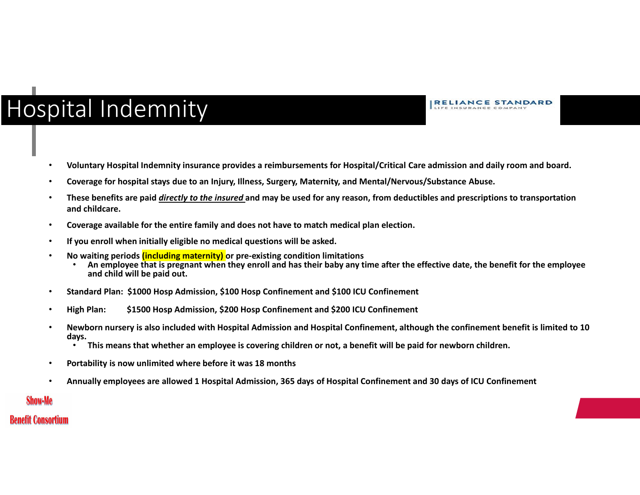## Hospital Indemnity

**RELIANCE STANDARD** LIFE INSURANCE COMPANY

- **Voluntary Hospital Indemnity insurance provides a reimbursements for Hospital/Critical Care admission and daily room and board.**
- **Coverage for hospital stays due to an Injury, Illness, Surgery, Maternity, and Mental/Nervous/Substance Abuse.**
- **These benefits are paid** *directly to the insured* **and may be used for any reason, from deductibles and prescriptions to transportation and childcare.**
- **Coverage available for the entire family and does not have to match medical plan election.**
- **If you enroll when initially eligible no medical questions will be asked.**
- - No waiting periods <mark>(including maternity)</mark> or pre-existing condition limitations<br>• An employee that is pregnant when they enroll and has their baby any time after the effective date, the benefit for the employee **and child will be paid out.**
- **Standard Plan: \$1000 Hosp Admission, \$100 Hosp Confinement and \$100 ICU Confinement**
- **High Plan: \$1500 Hosp Admission, \$200 Hosp Confinement and \$200 ICU Confinement**
- **Newborn nursery is also included with Hospital Admission and Hospital Confinement, although the confinement benefit is limited to 10 days.** 
	- **This means that whether an employee is covering children or not, a benefit will be paid for newborn children.**
- **Portability is now unlimited where before it was 18 months**
- **Annually employees are allowed 1 Hospital Admission, 365 days of Hospital Confinement and 30 days of ICU Confinement**

#### Show-Me

#### **Benefit Consortium**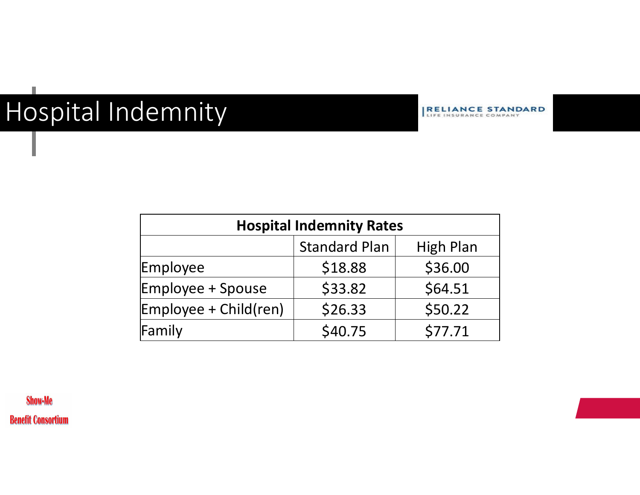# Hospital Indemnity

**RELIANCE STANDARD** 

| <b>Hospital Indemnity Rates</b>          |         |         |  |  |
|------------------------------------------|---------|---------|--|--|
| <b>Standard Plan</b><br><b>High Plan</b> |         |         |  |  |
| Employee                                 | \$18.88 | \$36.00 |  |  |
| <b>Employee + Spouse</b>                 | \$33.82 | \$64.51 |  |  |
| Employee + Child(ren)                    | \$26.33 | \$50.22 |  |  |
| Family                                   | \$40.75 | \$77.71 |  |  |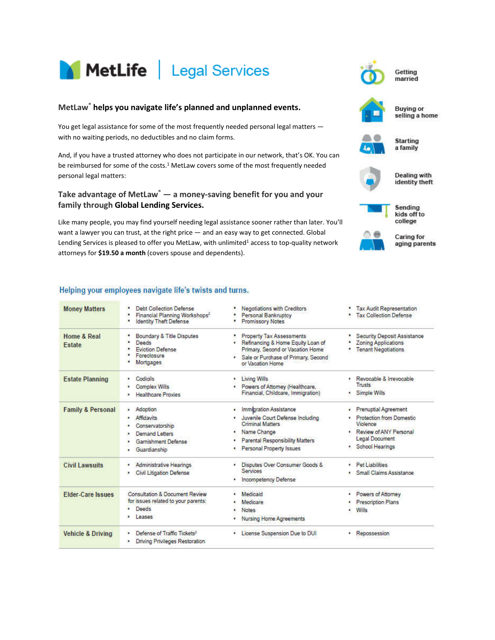

#### **MetLaw® helps you navigate life's planned and unplanned events.**

You get legal assistance for some of the most frequently needed personal legal matters with no waiting periods, no deductibles and no claim forms.

And, if you have a trusted attorney who does not participate in our network, that's OK. You can be reimbursed for some of the costs.<sup>1</sup> MetLaw covers some of the most frequently needed personal legal matters:

#### **Take advantage of MetLaw® ― a money-saving benefit for you and your family through Global Lending Services.**

Like many people, you may find yourself needing legal assistance sooner rather than later. You'll want a lawyer you can trust, at the right price — and an easy way to get connected. Global Lending Services is pleased to offer you MetLaw, with unlimited<sup>1</sup> access to top-quality network attorneys for **\$19.50 a month** (covers spouse and dependents).

#### Helping your employees navigate life's twists and turns.

| <b>Money Matters</b>         | <b>Debt Collection Defense</b><br>Financial Planning Workshops*<br><b>Identity Theft Defense</b>              | Negotiations with Creditors<br>Personal Bankruptcy<br><b>Promissory Notes</b>                                                                                                          | <b>Tax Audit Representation</b><br><b>Tax Collection Defense</b>                                                                                      |
|------------------------------|---------------------------------------------------------------------------------------------------------------|----------------------------------------------------------------------------------------------------------------------------------------------------------------------------------------|-------------------------------------------------------------------------------------------------------------------------------------------------------|
| Home & Real<br>Estate        | Boundary & Title Disputes<br>Deeds<br><b>Eviction Defense</b><br>Foreclosure<br>Mortgages                     | <b>Property Tax Assessments</b><br>Refinancing & Home Equity Loan of<br>Primary, Second or Vacation Home<br>Sale or Purchase of Primary, Second<br>or Vacation Home                    | <b>Security Deposit Assistance</b><br><b>Zoning Applications</b><br><b>Tenant Negotiations</b>                                                        |
| <b>Estate Planning</b>       | Codicils<br>٠<br><b>Complex Wills</b><br><b>Healthcare Proxies</b>                                            | Living Wills<br>٠<br>Powers of Attorney (Healthcare,<br>Financial, Childcare, Immigration)                                                                                             | · Revocable & Irrevocable<br>Trusts<br><b>Simple Wills</b>                                                                                            |
| <b>Family &amp; Personal</b> | Adoption<br>٠<br>Affidavits<br>Conservatorship<br>Demand Letters<br><b>Gamishment Defense</b><br>Guardianship | Immigration Assistance<br>٠<br>Juvenile Court Defense Including<br><b>Criminal Matters</b><br>Name Change<br><b>Parental Responsibility Matters</b><br><b>Personal Property Issues</b> | <b>Prenuptial Agreement</b><br>٠<br><b>Protection from Domestic</b><br>Vinience<br>Review of ANY Personal<br><b>Legal Document</b><br>School Hearings |
| <b>Civil Lawsuits</b>        | <b>Administrative Hearings</b><br><b>Civil Litigation Defense</b><br>٠                                        | Disputes Over Consumer Goods &<br>٠<br><b>Services</b><br><b>Incompetency Defense</b><br>٠                                                                                             | · Pet Liabilities<br>Small Claims Assistance<br>٠                                                                                                     |
| <b>Elder-Care Issues</b>     | Consultation & Document Review<br>for issues related to your parents:<br><b>Deeds</b><br>LABRAS               | <b>Medicaid</b><br>Medicare.<br><b>Notes</b><br><b>Nursing Home Agreements</b>                                                                                                         | Powers of Attorney<br>٠<br><b>Prescription Plans</b><br>Wills<br>٠                                                                                    |
| <b>Vehicle &amp; Driving</b> | Defense of Traffic Tickets <sup>2</sup><br>Driving Privileges Restoration<br>٠                                | License Suspension Due to DUI<br>٠                                                                                                                                                     | Repossession<br>٠                                                                                                                                     |



married



**Buying or** selling a home



**Starting** a family

**Dealing with** identity theft



Caring for aging parents